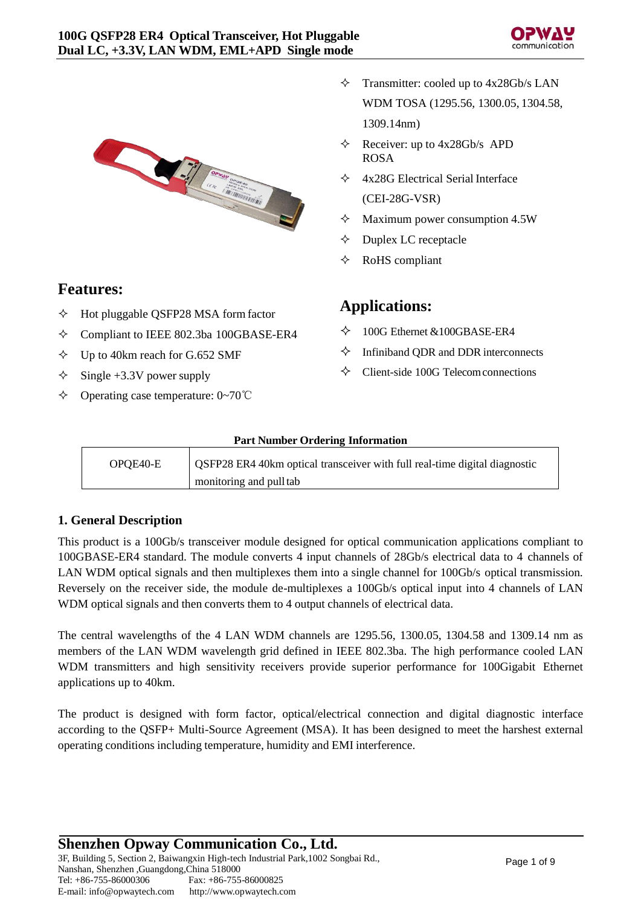



# **Features:**

- $\Diamond$  Hot pluggable QSFP28 MSA form factor
- Compliant to IEEE 802.3ba 100GBASE-ER4
- $\diamond$  Up to 40km reach for G.652 SMF
- $\diamond$  Single +3.3V power supply
- Operating case temperature: 0~70℃
- $\Diamond$  Transmitter: cooled up to 4x28Gb/s LAN WDM TOSA (1295.56, 1300.05, 1304.58, 1309.14nm)
- $\triangle$  Receiver: up to 4x28Gb/s APD ROSA
- 4x28G Electrical Serial Interface (CEI-28G-VSR)
- $\Diamond$  Maximum power consumption 4.5W
- $\Diamond$  Duplex LC receptacle
- $\Diamond$  RoHS compliant

# **Applications:**

- $\diamondsuit$  100G Ethernet &100GBASE-ER4
- $\Diamond$  Infiniband QDR and DDR interconnects
- $\Diamond$  Client-side 100G Telecom connections

### **Part Number Ordering Information**

| OPOE40-E | OSFP28 ER4 40km optical transceiver with full real-time digital diagnostic |
|----------|----------------------------------------------------------------------------|
|          | monitoring and pull tab                                                    |

# **1. General Description**

This product is a 100Gb/s transceiver module designed for optical communication applications compliant to 100GBASE-ER4 standard. The module converts 4 input channels of 28Gb/s electrical data to 4 channels of LAN WDM optical signals and then multiplexes them into a single channel for 100Gb/s optical transmission. Reversely on the receiver side, the module de-multiplexes a 100Gb/s optical input into 4 channels of LAN WDM optical signals and then converts them to 4 output channels of electrical data.

The central wavelengths of the 4 LAN WDM channels are 1295.56, 1300.05, 1304.58 and 1309.14 nm as members of the LAN WDM wavelength grid defined in IEEE 802.3ba. The high performance cooled LAN WDM transmitters and high sensitivity receivers provide superior performance for 100Gigabit Ethernet applications up to 40km.

The product is designed with form factor, optical/electrical connection and digital diagnostic interface according to the QSFP+ Multi-Source Agreement (MSA). It has been designed to meet the harshest external operating conditions including temperature, humidity and EMI interference.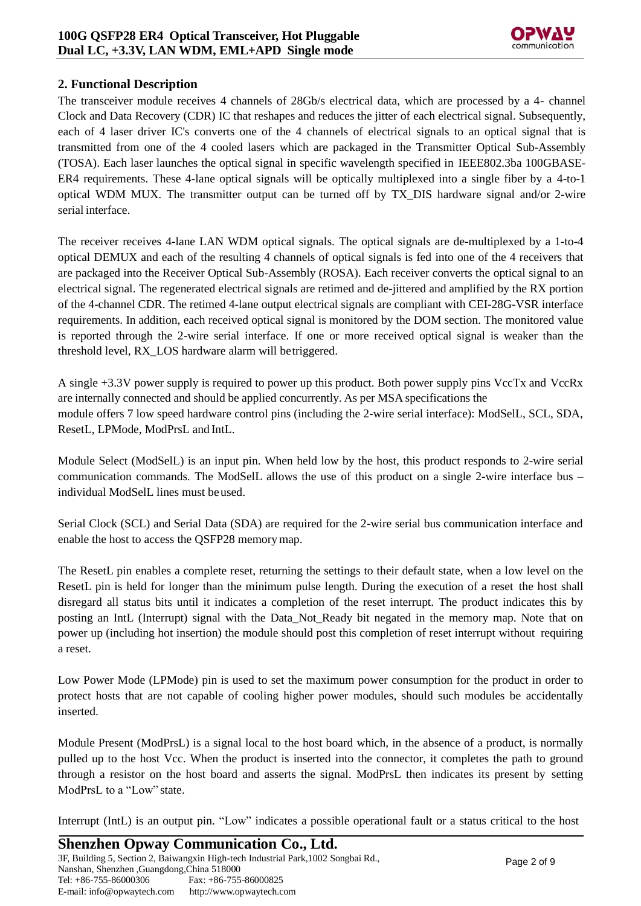# **2. Functional Description**

The transceiver module receives 4 channels of 28Gb/s electrical data, which are processed by a 4- channel Clock and Data Recovery (CDR) IC that reshapes and reduces the jitter of each electrical signal. Subsequently, each of 4 laser driver IC's converts one of the 4 channels of electrical signals to an optical signal that is transmitted from one of the 4 cooled lasers which are packaged in the Transmitter Optical Sub-Assembly (TOSA). Each laser launches the optical signal in specific wavelength specified in IEEE802.3ba 100GBASE-ER4 requirements. These 4-lane optical signals will be optically multiplexed into a single fiber by a 4-to-1 optical WDM MUX. The transmitter output can be turned off by TX\_DIS hardware signal and/or 2-wire serial interface.

The receiver receives 4-lane LAN WDM optical signals. The optical signals are de-multiplexed by a 1-to-4 optical DEMUX and each of the resulting 4 channels of optical signals is fed into one of the 4 receivers that are packaged into the Receiver Optical Sub-Assembly (ROSA). Each receiver converts the optical signal to an electrical signal. The regenerated electrical signals are retimed and de-jittered and amplified by the RX portion of the 4-channel CDR. The retimed 4-lane output electrical signals are compliant with CEI-28G-VSR interface requirements. In addition, each received optical signal is monitored by the DOM section. The monitored value is reported through the 2-wire serial interface. If one or more received optical signal is weaker than the threshold level, RX\_LOS hardware alarm will betriggered.

A single +3.3V power supply is required to power up this product. Both power supply pins VccTx and VccRx are internally connected and should be applied concurrently. As per MSA specifications the module offers 7 low speed hardware control pins (including the 2-wire serial interface): ModSelL, SCL, SDA, ResetL, LPMode, ModPrsL and IntL.

Module Select (ModSelL) is an input pin. When held low by the host, this product responds to 2-wire serial communication commands. The ModSelL allows the use of this product on a single 2-wire interface bus – individual ModSelL lines must beused.

Serial Clock (SCL) and Serial Data (SDA) are required for the 2-wire serial bus communication interface and enable the host to access the QSFP28 memorymap.

The ResetL pin enables a complete reset, returning the settings to their default state, when a low level on the ResetL pin is held for longer than the minimum pulse length. During the execution of a reset the host shall disregard all status bits until it indicates a completion of the reset interrupt. The product indicates this by posting an IntL (Interrupt) signal with the Data\_Not\_Ready bit negated in the memory map. Note that on power up (including hot insertion) the module should post this completion of reset interrupt without requiring a reset.

Low Power Mode (LPMode) pin is used to set the maximum power consumption for the product in order to protect hosts that are not capable of cooling higher power modules, should such modules be accidentally inserted.

Module Present (ModPrsL) is a signal local to the host board which, in the absence of a product, is normally pulled up to the host Vcc. When the product is inserted into the connector, it completes the path to ground through a resistor on the host board and asserts the signal. ModPrsL then indicates its present by setting ModPrsL to a "Low" state.

Interrupt (IntL) is an output pin. "Low" indicates a possible operational fault or a status critical to the host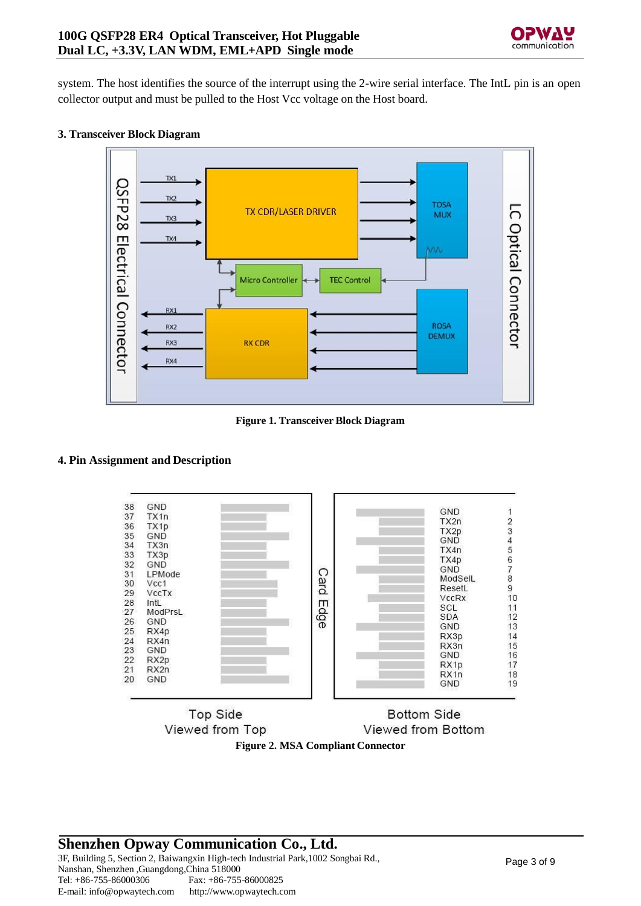

system. The host identifies the source of the interrupt using the 2-wire serial interface. The IntL pin is an open collector output and must be pulled to the Host Vcc voltage on the Host board.

### **3. Transceiver Block Diagram**



**Figure 1. Transceiver Block Diagram**

### **4. Pin Assignment and Description**



**Top Side Bottom Side** Viewed from Top Viewed from Bottom **Figure 2. MSA Compliant Connector**

# **Shenzhen Opway Communication Co., Ltd.** 3F, Building 5, Section 2, Baiwangxin High-tech Industrial Park,1002 Songbai Rd.,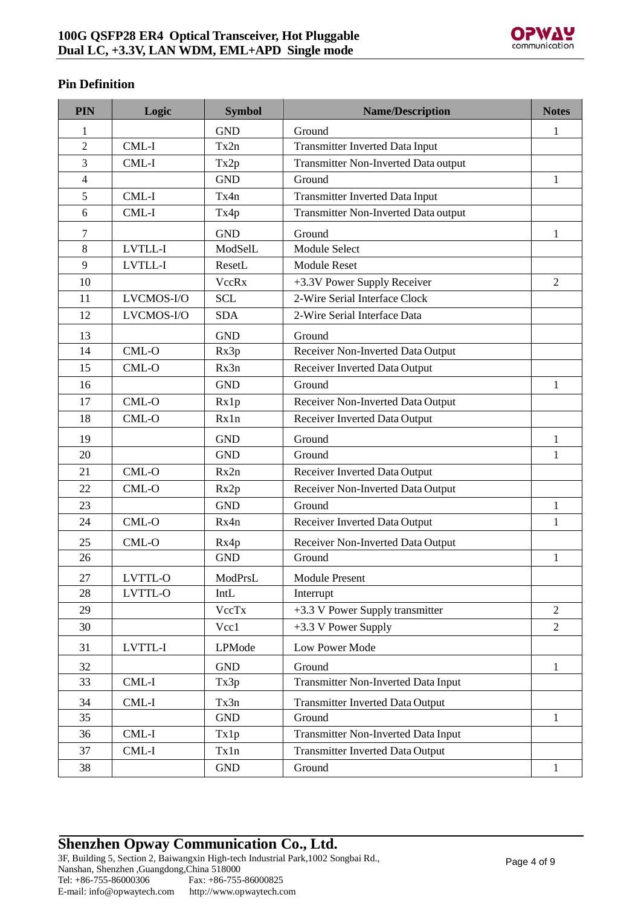

# **Pin Definition**

| PIN            | Logic      | <b>Symbol</b> | <b>Name/Description</b>                    | <b>Notes</b>   |
|----------------|------------|---------------|--------------------------------------------|----------------|
| 1              |            | <b>GND</b>    | Ground                                     | 1              |
| $\overline{2}$ | CML-I      | Tx2n          | <b>Transmitter Inverted Data Input</b>     |                |
| 3              | CML-I      | Tx2p          | Transmitter Non-Inverted Data output       |                |
| 4              |            | <b>GND</b>    | Ground                                     | $\mathbf{1}$   |
| 5              | CML-I      | Tx4n          | <b>Transmitter Inverted Data Input</b>     |                |
| 6              | $CML-I$    | Tx4p          | Transmitter Non-Inverted Data output       |                |
| 7              |            | <b>GND</b>    | Ground                                     | 1              |
| 8              | LVTLL-I    | ModSelL       | <b>Module Select</b>                       |                |
| 9              | LVTLL-I    | ResetL        | <b>Module Reset</b>                        |                |
| 10             |            | <b>VccRx</b>  | +3.3V Power Supply Receiver                | $\overline{2}$ |
| 11             | LVCMOS-I/O | <b>SCL</b>    | 2-Wire Serial Interface Clock              |                |
| 12             | LVCMOS-I/O | <b>SDA</b>    | 2-Wire Serial Interface Data               |                |
| 13             |            | <b>GND</b>    | Ground                                     |                |
| 14             | CML-O      | Rx3p          | Receiver Non-Inverted Data Output          |                |
| 15             | $CML-O$    | Rx3n          | Receiver Inverted Data Output              |                |
| 16             |            | <b>GND</b>    | Ground                                     | 1              |
| 17             | $CML-O$    | Rx1p          | Receiver Non-Inverted Data Output          |                |
| 18             | $CML-O$    | Rx1n          | Receiver Inverted Data Output              |                |
| 19             |            | <b>GND</b>    | Ground                                     | $\mathbf{1}$   |
| 20             |            | <b>GND</b>    | Ground                                     | 1              |
| 21             | CML-O      | Rx2n          | Receiver Inverted Data Output              |                |
| 22             | $CML-O$    | Rx2p          | Receiver Non-Inverted Data Output          |                |
| 23             |            | <b>GND</b>    | Ground                                     | $\mathbf{1}$   |
| 24             | $CML-O$    | Rx4n          | Receiver Inverted Data Output              | $\mathbf{1}$   |
| 25             | CML-O      | Rx4p          | Receiver Non-Inverted Data Output          |                |
| 26             |            | <b>GND</b>    | Ground                                     | $\mathbf{1}$   |
| 27             | LVTTL-O    | ModPrsL       | <b>Module Present</b>                      |                |
| 28             | LVTTL-O    | IntL          | Interrupt                                  |                |
| 29             |            | VccTx         | +3.3 V Power Supply transmitter            | $\overline{2}$ |
| 30             |            | Vcc1          | +3.3 V Power Supply                        | $\overline{2}$ |
| 31             | LVTTL-I    | LPMode        | Low Power Mode                             |                |
| 32             |            | <b>GND</b>    | Ground                                     | $\mathbf{1}$   |
| 33             | CML-I      | Tx3p          | <b>Transmitter Non-Inverted Data Input</b> |                |
| 34             | CML-I      | Tx3n          | <b>Transmitter Inverted Data Output</b>    |                |
| 35             |            | <b>GND</b>    | Ground                                     | $\mathbf{1}$   |
| 36             | CML-I      | Tx1p          | <b>Transmitter Non-Inverted Data Input</b> |                |
| 37             | $CML-I$    | Tx1n          | <b>Transmitter Inverted Data Output</b>    |                |
| 38             |            | <b>GND</b>    | Ground                                     | $\mathbf{1}$   |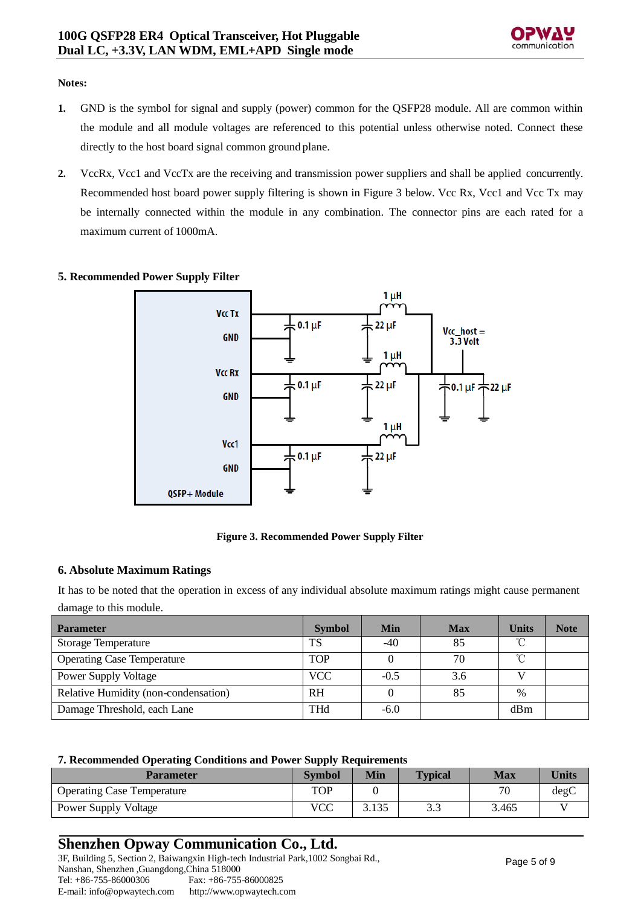

#### **Notes:**

- **1.** GND is the symbol for signal and supply (power) common for the QSFP28 module. All are common within the module and all module voltages are referenced to this potential unless otherwise noted. Connect these directly to the host board signal common ground plane.
- **2.** VccRx, Vcc1 and VccTx are the receiving and transmission power suppliers and shall be applied concurrently. Recommended host board power supply filtering is shown in Figure 3 below. Vcc Rx, Vcc1 and Vcc Tx may be internally connected within the module in any combination. The connector pins are each rated for a maximum current of 1000mA.

### **5. Recommended Power Supply Filter**



#### **Figure 3. Recommended Power Supply Filter**

### **6. Absolute Maximum Ratings**

It has to be noted that the operation in excess of any individual absolute maximum ratings might cause permanent damage to this module.

| <b>Parameter</b>                     | <b>Symbol</b> | Min    | <b>Max</b> | <b>Units</b> | <b>Note</b> |
|--------------------------------------|---------------|--------|------------|--------------|-------------|
| <b>Storage Temperature</b>           | TS            | -40    | 85         | °C           |             |
| <b>Operating Case Temperature</b>    | <b>TOP</b>    |        | 70         | °C           |             |
| <b>Power Supply Voltage</b>          | <b>VCC</b>    | $-0.5$ | 3.6        |              |             |
| Relative Humidity (non-condensation) | <b>RH</b>     |        | 85         | $\%$         |             |
| Damage Threshold, each Lane          | <b>THd</b>    | $-6.0$ |            | dBm          |             |

#### **7. Recommended Operating Conditions and Power Supply Requirements**

| <b>Parameter</b>                  | <b>Symbol</b> | Min   | <b>Typical</b> | Max   | <b>Units</b> |
|-----------------------------------|---------------|-------|----------------|-------|--------------|
| <b>Operating Case Temperature</b> | TOP           |       |                | 70    | degC         |
| <b>Power Supply Voltage</b>       | VCC           | 3.135 | ر. ر           | 3.465 |              |

# **Shenzhen Opway Communication Co., Ltd.**

3F, Building 5, Section 2, Baiwangxin High-tech Industrial Park,1002 Songbai Rd., Nanshan, Shenzhen ,Guangdong,China 518000 Tel: +86-755-86000306 E-mai[l: info@opwaytech.com](mailto:info@opwaytech.com) Fax: +86-755-86000825 [http://www.opwaytech.com](http://www.opwaytech.com/)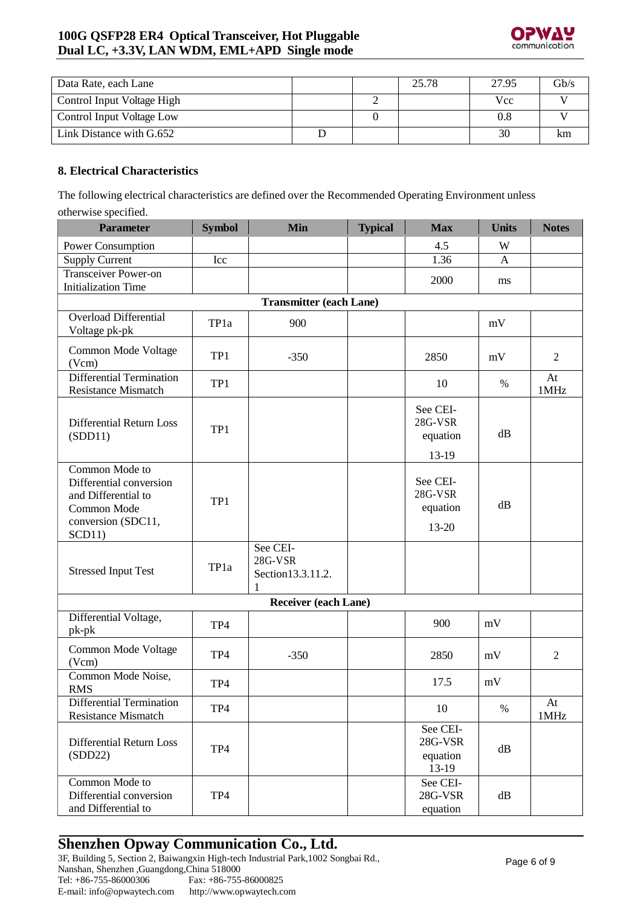

| Data Rate, each Lane       |  | 25.78 | 27.95      | $\mathrm{Gb/s}$ |
|----------------------------|--|-------|------------|-----------------|
| Control Input Voltage High |  |       | <b>Vcc</b> |                 |
| Control Input Voltage Low  |  |       |            |                 |
| Link Distance with G.652   |  |       | 30         | km              |

### **8. Electrical Characteristics**

The following electrical characteristics are defined over the Recommended Operating Environment unless otherwise specified.

| <b>Parameter</b>                                                                                                | <b>Symbol</b> | <b>Min</b>                                     | <b>Typical</b> | <b>Max</b>                                 | <b>Units</b> | <b>Notes</b>   |  |  |  |
|-----------------------------------------------------------------------------------------------------------------|---------------|------------------------------------------------|----------------|--------------------------------------------|--------------|----------------|--|--|--|
| Power Consumption                                                                                               |               |                                                |                | 4.5                                        | W            |                |  |  |  |
| <b>Supply Current</b>                                                                                           | Icc           |                                                |                | 1.36                                       | A            |                |  |  |  |
| <b>Transceiver Power-on</b><br><b>Initialization Time</b>                                                       |               |                                                |                | 2000                                       | ms           |                |  |  |  |
| <b>Transmitter (each Lane)</b>                                                                                  |               |                                                |                |                                            |              |                |  |  |  |
| <b>Overload Differential</b><br>Voltage pk-pk                                                                   | TP1a          | 900                                            |                |                                            | mV           |                |  |  |  |
| Common Mode Voltage<br>(Vcm)                                                                                    | TP1           | $-350$                                         |                | 2850                                       | mV           | $\overline{2}$ |  |  |  |
| Differential Termination<br>Resistance Mismatch                                                                 | TP1           |                                                |                | 10                                         | $\%$         | At<br>1MHz     |  |  |  |
| Differential Return Loss<br>(SDD11)                                                                             | TP1           |                                                |                | See CEI-<br>28G-VSR<br>equation<br>13-19   | dB           |                |  |  |  |
| Common Mode to<br>Differential conversion<br>and Differential to<br>Common Mode<br>conversion (SDC11,<br>SCD11) | TP1           |                                                |                | See CEI-<br>28G-VSR<br>equation<br>13-20   | dB           |                |  |  |  |
| <b>Stressed Input Test</b>                                                                                      | TP1a          | See CEI-<br>28G-VSR<br>Section 13.3.11.2.<br>1 |                |                                            |              |                |  |  |  |
|                                                                                                                 |               | <b>Receiver (each Lane)</b>                    |                |                                            |              |                |  |  |  |
| Differential Voltage,<br>$pk-pk$                                                                                | TP4           |                                                |                | 900                                        | mV           |                |  |  |  |
| Common Mode Voltage<br>(Vcm)                                                                                    | TP4           | $-350$                                         |                | 2850                                       | mV           | $\mathfrak{2}$ |  |  |  |
| Common Mode Noise,<br><b>RMS</b>                                                                                | TP4           |                                                |                | 17.5                                       | mV           |                |  |  |  |
| Differential Termination<br><b>Resistance Mismatch</b>                                                          | TP4           |                                                |                | 10                                         | %            | At<br>1MHz     |  |  |  |
| Differential Return Loss<br>(SDD22)                                                                             | TP4           |                                                |                | See CEI-<br>28G-VSR<br>equation<br>$13-19$ | dB           |                |  |  |  |
| Common Mode to<br>Differential conversion<br>and Differential to                                                | TP4           |                                                |                | See CEI-<br>28G-VSR<br>equation            | dB           |                |  |  |  |

# **Shenzhen Opway Communication Co., Ltd.**

3F, Building 5, Section 2, Baiwangxin High-tech Industrial Park,1002 Songbai Rd., Nanshan, Shenzhen ,Guangdong,China 518000 Tel: +86-755-86000306 E-mai[l: info@opwaytech.com](mailto:info@opwaytech.com) Fax: +86-755-86000825 [http://www.opwaytech.com](http://www.opwaytech.com/)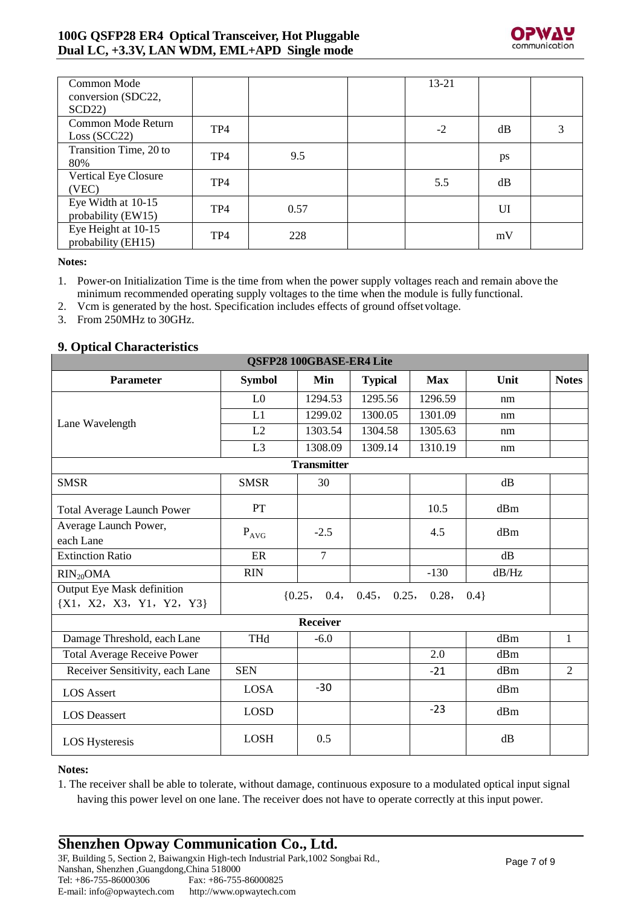# **100G QSFP28 ER4 Optical Transceiver, Hot Pluggable Dual LC, +3.3V, LAN WDM, EML+APD Single mode**



| Common Mode                 |                 |      | $13 - 21$ |    |   |
|-----------------------------|-----------------|------|-----------|----|---|
| conversion (SDC22,          |                 |      |           |    |   |
| SCD22                       |                 |      |           |    |   |
| Common Mode Return          | TP4             |      | $-2$      | dB | 3 |
| Loss (SCC22)                |                 |      |           |    |   |
| Transition Time, 20 to      | TP <sub>4</sub> | 9.5  |           |    |   |
| 80%                         |                 |      |           | ps |   |
| <b>Vertical Eye Closure</b> | TP <sub>4</sub> |      | 5.5       | dB |   |
| (VEC)                       |                 |      |           |    |   |
| Eye Width at 10-15          | TP <sub>4</sub> | 0.57 |           | UI |   |
| probability (EW15)          |                 |      |           |    |   |
| Eye Height at 10-15         | TP <sub>4</sub> | 228  |           |    |   |
| probability (EH15)          |                 |      |           | mV |   |

**Notes:**

- 1. Power-on Initialization Time is the time from when the power supply voltages reach and remain above the minimum recommended operating supply voltages to the time when the module is fully functional.
- 2. Vcm is generated by the host. Specification includes effects of ground offset voltage.
- 3. From 250MHz to 30GHz.

### **9. Optical Characteristics**

| QSFP28 100GBASE-ER4 Lite                                          |                           |                    |                                     |            |         |                |  |  |
|-------------------------------------------------------------------|---------------------------|--------------------|-------------------------------------|------------|---------|----------------|--|--|
| <b>Parameter</b>                                                  | <b>Symbol</b>             | Min                | <b>Typical</b>                      | <b>Max</b> | Unit    | <b>Notes</b>   |  |  |
|                                                                   | L <sub>0</sub>            | 1294.53            | 1295.56                             | 1296.59    | nm      |                |  |  |
| Lane Wavelength                                                   | L1                        | 1299.02            | 1300.05                             | 1301.09    | nm      |                |  |  |
|                                                                   | L2                        | 1303.54            | 1304.58                             | 1305.63    | nm      |                |  |  |
|                                                                   | L <sub>3</sub>            | 1308.09            | 1309.14                             | 1310.19    | nm      |                |  |  |
|                                                                   |                           | <b>Transmitter</b> |                                     |            |         |                |  |  |
| <b>SMSR</b>                                                       | <b>SMSR</b>               | 30                 |                                     |            | dB      |                |  |  |
| <b>Total Average Launch Power</b>                                 | PT                        |                    |                                     | 10.5       | dBm     |                |  |  |
| Average Launch Power,                                             | $\mathbf{P}_{\text{AVG}}$ | $-2.5$             |                                     | 4.5        | dBm     |                |  |  |
| each Lane                                                         |                           |                    |                                     |            |         |                |  |  |
| <b>Extinction Ratio</b>                                           | ER                        | $\tau$             |                                     |            | dB      |                |  |  |
| $RIN_{20}OMA$                                                     | <b>RIN</b>                |                    |                                     | $-130$     | dB/Hz   |                |  |  |
| <b>Output Eye Mask definition</b><br>$\{X1, X2, X3, Y1, Y2, Y3\}$ |                           |                    | $\{0.25, 0.4, 0.45, 0.25, 0.28, \}$ |            | $0.4$ } |                |  |  |
|                                                                   |                           | <b>Receiver</b>    |                                     |            |         |                |  |  |
| Damage Threshold, each Lane                                       | <b>THd</b>                | $-6.0$             |                                     |            | dBm     | $\mathbf{1}$   |  |  |
| <b>Total Average Receive Power</b>                                |                           |                    |                                     | 2.0        | dBm     |                |  |  |
| Receiver Sensitivity, each Lane                                   | <b>SEN</b>                |                    |                                     | $-21$      | dBm     | $\overline{2}$ |  |  |
| <b>LOS Assert</b>                                                 | <b>LOSA</b>               | $-30$              |                                     |            | dBm     |                |  |  |
| <b>LOS</b> Deassert                                               | <b>LOSD</b>               |                    |                                     | $-23$      | dBm     |                |  |  |
| <b>LOS Hysteresis</b>                                             | <b>LOSH</b>               | 0.5                |                                     |            | dB      |                |  |  |

### **Notes:**

1. The receiver shall be able to tolerate, without damage, continuous exposure to a modulated optical input signal having this power level on one lane. The receiver does not have to operate correctly at this input power.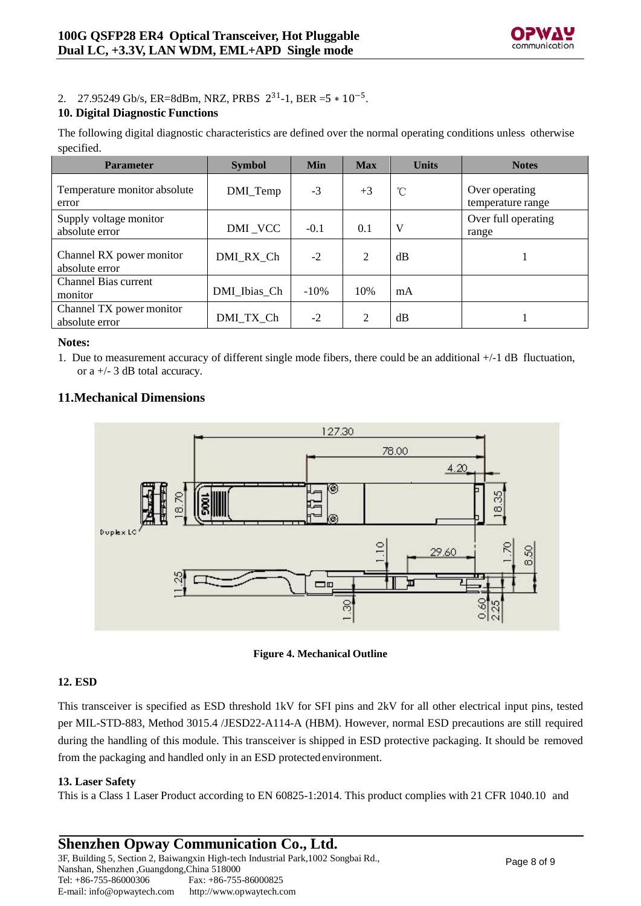

# 2. 27.95249 Gb/s, ER=8dBm, NRZ, PRBS  $2^{31}$ -1, BER =5  $*$  10<sup>-5</sup>.

### **10. Digital Diagnostic Functions**

The following digital diagnostic characteristics are defined over the normal operating conditions unless otherwise specified.

| <b>Parameter</b>                           | <b>Symbol</b> | Min    | <b>Max</b>     | <b>Units</b> | <b>Notes</b>                        |
|--------------------------------------------|---------------|--------|----------------|--------------|-------------------------------------|
| Temperature monitor absolute<br>error      | DMI_Temp      | $-3$   | $+3$           | °C           | Over operating<br>temperature range |
| Supply voltage monitor<br>absolute error   | DMI_VCC       | $-0.1$ | 0.1            | V            | Over full operating<br>range        |
| Channel RX power monitor<br>absolute error | DMI RX Ch     | $-2$   | $\overline{2}$ | dB           |                                     |
| Channel Bias current<br>monitor            | DMI Ibias Ch  | $-10%$ | 10%            | mA           |                                     |
| Channel TX power monitor<br>absolute error | DMI_TX_Ch     | $-2$   | 2              | dB           |                                     |

### **Notes:**

1. Due to measurement accuracy of different single mode fibers, there could be an additional +/-1 dB fluctuation, or a +/- 3 dB total accuracy.

### **11.Mechanical Dimensions**



**Figure 4. Mechanical Outline**

### **12. ESD**

This transceiver is specified as ESD threshold 1kV for SFI pins and 2kV for all other electrical input pins, tested per MIL-STD-883, Method 3015.4 /JESD22-A114-A (HBM). However, normal ESD precautions are still required during the handling of this module. This transceiver is shipped in ESD protective packaging. It should be removed from the packaging and handled only in an ESD protectedenvironment.

### **13. Laser Safety**

This is a Class 1 Laser Product according to EN 60825-1:2014. This product complies with 21 CFR 1040.10 and

#### **Shenzhen Opway Communication Co., Ltd.** 3F, Building 5, Section 2, Baiwangxin High-tech Industrial Park,1002 Songbai Rd., Nanshan, Shenzhen ,Guangdong,China 518000 Tel: +86-755-86000306 E-mai[l: info@opwaytech.com](mailto:info@opwaytech.com) Fax: +86-755-86000825 [http://www.opwaytech.com](http://www.opwaytech.com/)